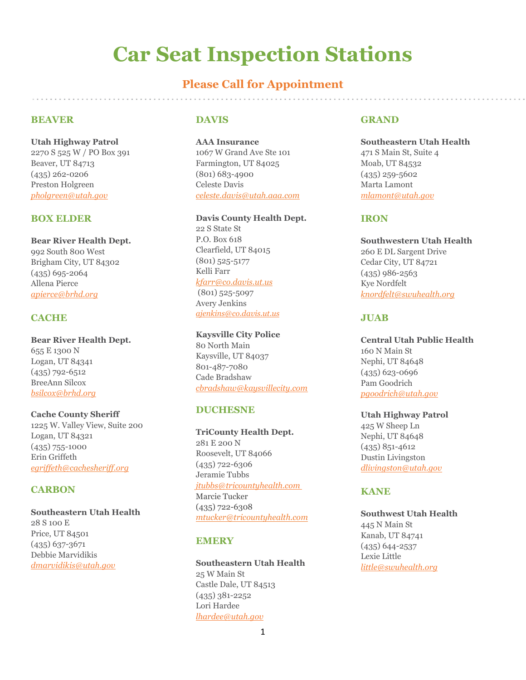# **Car Seat Inspection Stations**

# **Please Call for Appointment**

## **BEAVER**

**Utah Highway Patrol** 2270 S 525 W / PO Box 391 Beaver, UT 84713 (435) 262-0206 Preston Holgreen *[pholgreen@utah.gov](mailto:pholgreen@utah.gov)*

## **BOX ELDER**

**Bear River Health Dept.** 992 South 800 West Brigham City, UT 84302 (435) 695-2064 Allena Pierce *[apierce@brhd.org](mailto:apierce@brhd.org)*

## **CACHE**

**Bear River Health Dept.** 655 E 1300 N Logan, UT 84341 (435) 792-6512 BreeAnn Silcox *[bsilcox@brhd.org](mailto:bsilcox@brhd.org)*

**Cache County Sheriff** 1225 W. Valley View, Suite 200 Logan, UT 84321 (435) 755-1000 Erin Griffeth *egriffeth@cachesheriff.org*

#### **CARBON**

**Southeastern Utah Health**  28 S 100 E Price, UT 84501 (435) 637-3671 Debbie Marvidikis *[dmarvidikis@utah.gov](mailto:dmarvidikis@utah.gov)*

#### **DAVIS**

**AAA Insurance**  1067 W Grand Ave Ste 101 Farmington, UT 84025 (801) 683-4900 Celeste Davis *[celeste.davis@utah.aaa.com](mailto:celeste.davis@utah.aaa.com)*

#### **Davis County Health Dept.**

22 S State St P.O. Box 618 Clearfield, UT 84015 (801) 525-5177 Kelli Farr *kfarr@co.davis.ut.us* (801) 525-5097 Avery Jenkins *ajenkins@co.davis.ut.us*

## **Kaysville City Police**

80 North Main Kaysville, UT 84037 801-487-7080 Cade Bradshaw *cbradshaw@kaysvillecity.com*

### **DUCHESNE**

**TriCounty Health Dept.** 281 E 200 N Roosevelt, UT 84066 (435) 722-6306 Jeramie Tubbs *[jtubbs@tricountyhealth.com](mailto:jtubbs@tricountyhealth.com)* Marcie Tucker (435) 722-6308 *mtucker@tricountyhealth.com*

## **EMERY**

**Southeastern Utah Health**  25 W Main St Castle Dale, UT 84513 (435) 381-2252 Lori Hardee *[lhardee@utah.gov](mailto:lhardee@utah.gov)*

#### **GRAND**

**Southeastern Utah Health**  471 S Main St, Suite 4 Moab, UT 84532 (435) 259-5602 Marta Lamont *[mlamont@utah.gov](mailto:mlamont@utah.gov)*

#### **IRON**

**Southwestern Utah Health**  260 E DL Sargent Drive Cedar City, UT 84721 (435) 986-2563 Kye Nordfelt *[knordfelt@swuhealth.org](mailto:knordfelt@swuhealth.org)*

## **JUAB**

**Central Utah Public Health** 160 N Main St Nephi, UT 84648 (435) 623-0696 Pam Goodrich *[pgoodrich@utah.gov](mailto:pgoodrich@utah.gov)*

**Utah Highway Patrol** 425 W Sheep Ln Nephi, UT 84648 (435) 851-4612 Dustin Livingston *[dlivingston@utah.gov](mailto:dlivingston@utah.gov)*

## **KANE**

**Southwest Utah Health**  445 N Main St Kanab, UT 84741 (435) 644-2537 Lexie Little *[little@swuhealth.org](mailto:%20achamberlain@swuhealth.org)*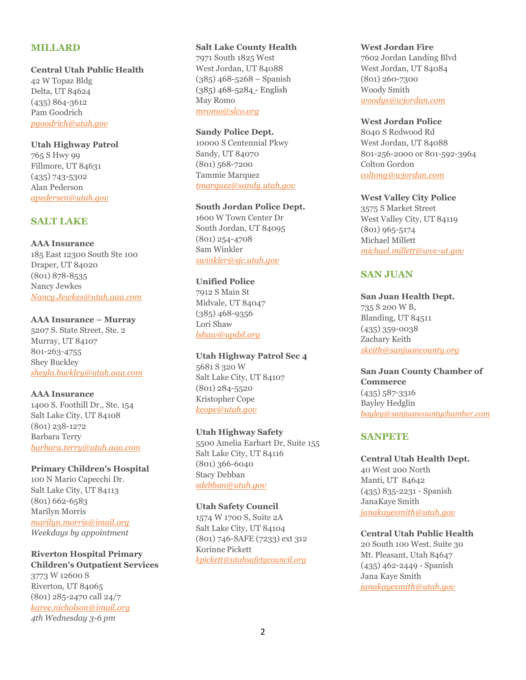## **MILLARD**

#### **Central Utah Public Health**

42 W Topaz Bldg Delta, UT 84624 (435) 864-3612 Pam Goodrich *[pgoodrich@utah.gov](mailto:pgoodrich@utah.gov)*

#### **Utah Highway Patrol**

765 S Hwy 99 Fillmore, UT 84631 (435) 743-5302 Alan Pederson *[apedersen@utah.gov](mailto:apedersen@utah.gov)*

## **SALT LAKE**

**AAA Insurance** 185 East 12300 South Ste 100 Draper, UT 84020 (801) 878-8535 Nancy Jewkes *[Nancy.Jewkes@utah.aaa.com](mailto:Nancy.Jewkes@utah.aaa.com)*

#### **AAA Insurance – Murray**

5207 S. State Street, Ste. 2 Murray, UT 84107 801-263-4755 Shey Buckley *sheyla.buckley@utah.aaa.com*

#### **AAA Insurance**

1400 S. Foothill Dr., Ste. 154 Salt Lake City, UT 84108 (801) 238-1272 Barbara Terry *barbara.terry@utah.aaa.com*

**Primary Children's Hospital** 100 N Mario Capecchi Dr. Salt Lake City, UT 84113 (801) 662-6583 Marilyn Morris *[marilyn.morris@imail.org](mailto:marilyn.morris@imail.org) Weekdays by appointment*

**Riverton Hospital Primary Children's Outpatient Services** 3773 W 12600 S Riverton, UT 84065 (801) 285-2470 call 24/7 *karee.nicholson@imail.org 4th Wednesday 3-6 pm*

## **Salt Lake County Health**

7971 South 1825 West West Jordan, UT 84088  $(385)$  468-5268 – Spanish (385) 468-5284 - English May Romo *[mromo@slco.org](mailto:mromo@slco.org)*

**Sandy Police Dept.**

10000 S Centennial Pkwy Sandy, UT 84070 (801) 568-7200 Tammie Marquez *[tmarquez@sandy.utah.gov](mailto:tmarquez@sandy.utah.gov)*

#### **South Jordan Police Dept.**

1600 W Town Center Dr South Jordan, UT 84095 (801) 254-4708 Sam Winkler *[swinkler@sjc.utah.gov](mailto:swinkler@sjc.utah.gov)*

#### **Unified Police**

7912 S Main St Midvale, UT 84047 (385) 468-9356 Lori Shaw *[lshaw@updsl.org](mailto:lshaw@updsl.org)*

**Utah Highway Patrol Sec 4** 5681 S 320 W Salt Lake City, UT 84107 (801) 284-5520 Kristopher Cope *[kcope@utah.gov](mailto:kcope@utah.gov)*

#### **Utah Highway Safety**

5500 Amelia Earhart Dr, Suite 155 Salt Lake City, UT 84116 (801) 366-6040 Stacy Debban *[sdebban@utah.gov](mailto:awinkler@utah.gov)*

## **Utah Safety Council**

1574 W 1700 S, Suite 2A Salt Lake City, UT 84104 (801) 746-SAFE (7233) ext 312 Korinne Pickett *kpickett@utahsafetycouncil.org*

#### **West Jordan Fire**

7602 Jordan Landing Blvd West Jordan, UT 84084 (801) 260-7300 Woody Smith *woodys@wjordan.com*

#### **West Jordan Police**

8040 S Redwood Rd West Jordan, UT 84088 801-256-2000 or 801-592-3964 Colton Gordon *[coltong@wjordan.com](mailto:coltong@wjordan.com)*

#### **West Valley City Police**

3575 S Market Street West Valley City, UT 84119 (801) 965-5174 Michael Millett *[michael.millett@wvc-ut.gov](mailto:rnielson@utahsafetycouncil.org)*

## **SAN JUAN**

**San Juan Health Dept.**  735 S 200 W B, Blanding, UT 84511 (435) 359-0038 Zachary Keith *zkeith@sanjuancounty.org*

**San Juan County Chamber of Commerce** (435) 587-3316 Bayley Hedglin *bayley@sanjuancountychamber.com*

## **SANPETE**

**Central Utah Health Dept.**  40 West 200 North Manti, UT 84642 (435) 835-2231 - Spanish JanaKaye Smith *janakayesmith@utah.gov*

## **Central Utah Public Health**

20 South 100 West. Suite 30 Mt. Pleasant, Utah 84647 (435) 462-2449 - Spanish Jana Kaye Smith *[janakayesmith@utah.gov](mailto:janakayesmith@utah.gov)*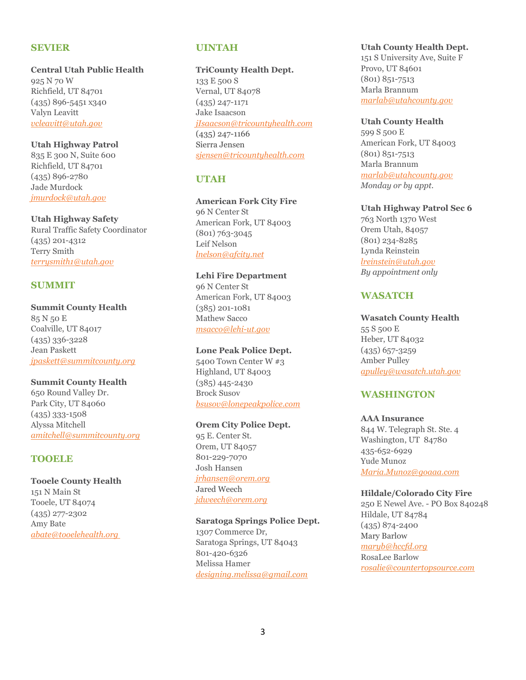#### **SEVIER**

**Central Utah Public Health** 925 N 70 W Richfield, UT 84701 (435) 896-5451 x340 Valyn Leavitt *[vcleavitt@utah.gov](mailto:vcleavitt@utah.gov)*

**Utah Highway Patrol** 835 E 300 N, Suite 600 Richfield, UT 84701 (435) 896-2780 Jade Murdock *jmurdock@utah.gov*

## **Utah Highway Safety**

Rural Traffic Safety Coordinator (435) 201-4312 Terry Smith *[terrysmith1@utah.gov](mailto:terrysmith1@utah.gov)*

## **SUMMIT**

## **Summit County Health**

85 N 50 E Coalville, UT 84017 (435) 336-3228 Jean Paskett *[jpaskett@summitcounty.org](mailto:jpaskett@summitcounty.org)*

**Summit County Health**

650 Round Valley Dr. Park City, UT 84060 (435) 333-1508 Alyssa Mitchell *amitchell@summitcounty.org* 

## **TOOELE**

**Tooele County Health**  151 N Main St Tooele, UT 84074 (435) 277-2302 Amy Bate *[abate@tooelehealth.org](mailto:abate@tooelehealth.org)*

## **UINTAH**

**TriCounty Health Dept.** 133 E 500 S Vernal, UT 84078 (435) 247-1171 Jake Isaacson *jIsaacson@tricountyhealth.com* (435) 247-1166 Sierra Jensen *sjensen@tricountyhealth.com*

## **UTAH**

**American Fork City Fire** 96 N Center St American Fork, UT 84003

(801) 763-3045 Leif Nelson *lnelson@afcity.net*

#### **Lehi Fire Department**

96 N Center St American Fork, UT 84003 (385) 201-1081 Mathew Sacco *[msacco@lehi-ut.gov](mailto:msacco@lehi-ut.gov)*

#### **Lone Peak Police Dept.**

5400 Town Center W #3 Highland, UT 84003 (385) 445-2430 Brock Susov *bsusov@lonepeakpolice.com*

## **Orem City Police Dept.**

95 E. Center St. Orem, UT 84057 801-229-7070 Josh Hansen *[jrhansen@orem.org](mailto:leyre@provo.utah.gov)* Jared Weech *jdweech@orem.org*

**Saratoga Springs Police Dept.** 1307 Commerce Dr, Saratoga Springs, UT 84043 801-420-6326 Melissa Hamer *[designing.melissa@gmail.com](mailto:designing.melissa@gmail.com)*

#### **Utah County Health Dept.**

151 S University Ave, Suite F Provo, UT 84601 (801) 851-7513 Marla Brannum *[marlab@utahcounty.gov](mailto:marlab@utahcounty.gov)*

#### **Utah County Health**

599 S 500 E American Fork, UT 84003 (801) 851-7513 Marla Brannum *[marlab@utahcounty.gov](mailto:carrieb@utahcounty.gov) Monday or by appt.*

#### **Utah Highway Patrol Sec 6**

763 North 1370 West Orem Utah, 84057 (801) 234-8285 Lynda Reinstein *lreinstein@utah.gov By appointment only*

## **WASATCH**

#### **Wasatch County Health**

55 S 500 E Heber, UT 84032 (435) 657-3259 Amber Pulley *[apulley@wasatch.utah.gov](mailto:apulley@wasatch.utah.gov)*

## **WASHINGTON**

## **AAA Insurance**

844 W. Telegraph St. Ste. 4 Washington, UT 84780 435-652-6929 Yude Munoz *[Maria.Munoz@goaaa.com](mailto:Maria.Munoz@goaaa.com)*

#### **Hildale/Colorado City Fire**

250 E Newel Ave. - PO Box 840248 Hildale, UT 84784 (435) 874-2400 Mary Barlow *[maryb@hccfd.org](mailto:maryb@hccfd.org)* RosaLee Barlow *[rosalie@countertopsource.com](mailto:rosalie@countertopsource.com)*